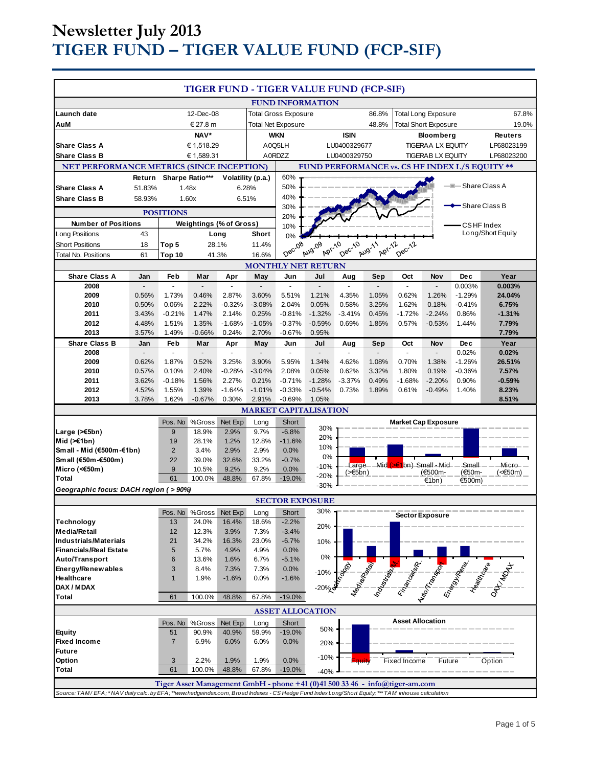# **Newsletter July 2013 TIGER FUND – TIGER VALUE FUND (FCP-SIF)**

| TIGER FUND - TIGER VALUE FUND (FCP-SIF)                                                                                                           |                                                         |                                |                       |                             |                           |                                   |                                      |                         |                            |                             |                          |                    |                                                                                                     |
|---------------------------------------------------------------------------------------------------------------------------------------------------|---------------------------------------------------------|--------------------------------|-----------------------|-----------------------------|---------------------------|-----------------------------------|--------------------------------------|-------------------------|----------------------------|-----------------------------|--------------------------|--------------------|-----------------------------------------------------------------------------------------------------|
|                                                                                                                                                   |                                                         |                                |                       |                             |                           |                                   | <b>FUND INFORMATION</b>              |                         |                            |                             |                          |                    |                                                                                                     |
| Launch date                                                                                                                                       | 12-Dec-08                                               |                                |                       | <b>Total Gross Exposure</b> |                           |                                   |                                      | 86.8%                   | <b>Total Long Exposure</b> |                             |                          | 67.8%              |                                                                                                     |
| AuM                                                                                                                                               |                                                         | € 27.8 m                       |                       |                             | <b>Total Net Exposure</b> |                                   |                                      | 48.8%                   |                            | <b>Total Short Exposure</b> |                          | 19.0%              |                                                                                                     |
|                                                                                                                                                   |                                                         | NAV*                           |                       |                             | <b>WKN</b>                |                                   |                                      | <b>ISIN</b>             |                            | <b>Bloomberg</b>            |                          | <b>Reuters</b>     |                                                                                                     |
| <b>Share Class A</b>                                                                                                                              | € 1,518.29                                              |                                | A0Q5LH                |                             | LU0400329677              |                                   | <b>TIGERAA LX EQUITY</b>             |                         |                            | LP68023199                  |                          |                    |                                                                                                     |
| <b>Share Class B</b>                                                                                                                              |                                                         |                                | € 1,589.31            |                             |                           | A0RDZZ                            |                                      | LU0400329750            |                            |                             | <b>TIGERAB LX EQUITY</b> |                    | LP68023200                                                                                          |
| NET PERFORMANCE METRICS (SINCE INCEPTION)<br>FUND PERFORMANCE vs. CS HF INDEX L/S EQUITY **                                                       |                                                         |                                |                       |                             |                           |                                   |                                      |                         |                            |                             |                          |                    |                                                                                                     |
|                                                                                                                                                   | Sharpe Ratio***<br>Return<br>Volatility (p.a.)<br>1.48x |                                |                       |                             |                           | 60%<br>- Share Class A<br>50%     |                                      |                         |                            |                             |                          |                    |                                                                                                     |
| <b>Share Class A</b>                                                                                                                              | 51.83%                                                  |                                |                       | 6.28%                       |                           | 40%                               |                                      |                         |                            |                             |                          |                    |                                                                                                     |
| <b>Share Class B</b><br>58.93%<br>1.60x<br>6.51%                                                                                                  |                                                         |                                | -Share Class B<br>30% |                             |                           |                                   |                                      |                         |                            |                             |                          |                    |                                                                                                     |
| <b>POSITIONS</b>                                                                                                                                  |                                                         |                                |                       | 20%                         |                           |                                   |                                      |                         |                            |                             |                          |                    |                                                                                                     |
| <b>Number of Positions</b>                                                                                                                        |                                                         | <b>Weightings (% of Gross)</b> |                       |                             |                           | CSHF Index<br>10%                 |                                      |                         |                            |                             |                          |                    |                                                                                                     |
| Long Positions                                                                                                                                    | 43                                                      |                                |                       | Long                        | Short                     | 0%                                |                                      |                         |                            |                             |                          |                    | Long/Short Equity                                                                                   |
| <b>Short Positions</b>                                                                                                                            | 18                                                      | Top 5                          |                       | 28.1%                       | 11.4%                     | Dec-08                            |                                      | <b>Dec-10</b>           |                            | Dec-12                      |                          |                    |                                                                                                     |
| <b>Total No. Positions</b>                                                                                                                        | 61                                                      | Top 10                         |                       | 41.3%                       | 16.6%                     |                                   | Apr-10<br>Aug-09<br>Apr-12<br>Aug-11 |                         |                            |                             |                          |                    |                                                                                                     |
| <b>MONTHLY NET RETURN</b>                                                                                                                         |                                                         |                                |                       |                             |                           |                                   |                                      |                         |                            |                             |                          |                    |                                                                                                     |
| <b>Share Class A</b>                                                                                                                              | Jan                                                     | Feb                            | Mar                   | Apr                         | May                       | Jun                               | Jul                                  | Aug                     | Sep                        | Oct                         | Nov                      | Dec                | Year                                                                                                |
| 2008<br>2009                                                                                                                                      | 0.56%                                                   | ÷<br>1.73%                     | 0.46%                 | $\blacksquare$<br>2.87%     | $\overline{a}$<br>3.60%   | $\overline{\phantom{a}}$<br>5.51% | $\blacksquare$<br>1.21%              | $\blacksquare$<br>4.35% | 1.05%                      | $\mathbf{r}$<br>0.62%       | $\overline{a}$<br>1.26%  | 0.003%<br>$-1.29%$ | 0.003%<br>24.04%                                                                                    |
| 2010                                                                                                                                              | 0.50%                                                   | 0.06%                          | 2.22%                 | $-0.32%$                    | $-3.08%$                  | 2.04%                             | 0.05%                                | 0.58%                   | 3.25%                      | 1.62%                       | 0.18%                    | $-0.41%$           | 6.75%                                                                                               |
| 2011                                                                                                                                              | 3.43%                                                   | $-0.21%$                       | 1.47%                 | 2.14%                       | 0.25%                     | $-0.81%$                          | $-1.32%$                             | $-3.41%$                | 0.45%                      | $-1.72%$                    | $-2.24%$                 | 0.86%              | $-1.31%$                                                                                            |
| 2012                                                                                                                                              | 4.48%                                                   | 1.51%                          | 1.35%                 | $-1.68%$                    | $-1.05%$                  | $-0.37%$                          | $-0.59%$                             | 0.69%                   | 1.85%                      | 0.57%                       | $-0.53%$                 | 1.44%              | 7.79%                                                                                               |
| 2013                                                                                                                                              | 3.57%                                                   | 1.49%                          | $-0.66%$              | 0.24%                       | 2.70%                     | $-0.67%$                          | 0.95%                                |                         |                            |                             |                          |                    | 7.79%                                                                                               |
| <b>Share Class B</b>                                                                                                                              | Jan                                                     | Feb                            | Mar                   | Apr                         | May                       | Jun                               | Jul                                  | Aug                     | Sep                        | Oct                         | Nov                      | <b>Dec</b>         | Year                                                                                                |
| 2008                                                                                                                                              | $\overline{a}$                                          | $\blacksquare$                 | $\Box$                | $\blacksquare$              | $\Box$                    | ÷.                                | $\mathbb{Z}^2$                       | $\blacksquare$          | $\overline{a}$             | $\mathbb{Z}^+$              | $\blacksquare$           | 0.02%              | 0.02%                                                                                               |
| 2009                                                                                                                                              | 0.62%                                                   | 1.87%                          | 0.52%                 | 3.25%                       | 3.90%                     | 5.95%                             | 1.34%                                | 4.62%                   | 1.08%                      | 0.70%                       | 1.38%                    | $-1.26%$           | 26.51%                                                                                              |
| 2010                                                                                                                                              | 0.57%                                                   | 0.10%                          | 2.40%                 | $-0.28%$                    | $-3.04%$                  | 2.08%                             | 0.05%                                | 0.62%                   | 3.32%                      | 1.80%                       | 0.19%                    | $-0.36%$           | 7.57%                                                                                               |
| 2011                                                                                                                                              | 3.62%                                                   | $-0.18%$                       | 1.56%                 | 2.27%                       | 0.21%                     | $-0.71%$                          | $-1.28%$                             | $-3.37%$                | 0.49%                      | $-1.68%$                    | $-2.20%$                 | 0.90%              | $-0.59%$                                                                                            |
| 2012<br>2013                                                                                                                                      | 4.52%<br>3.78%                                          | 1.55%<br>1.62%                 | 1.39%<br>$-0.67%$     | $-1.64%$<br>0.30%           | $-1.01%$<br>2.91%         | $-0.33%$<br>$-0.69%$              | $-0.54%$<br>1.05%                    | 0.73%                   | 1.89%                      | 0.61%                       | $-0.49%$                 | 1.40%              | 8.23%<br>8.51%                                                                                      |
|                                                                                                                                                   |                                                         |                                |                       |                             |                           |                                   | <b>MARKET CAPITALISATION</b>         |                         |                            |                             |                          |                    |                                                                                                     |
|                                                                                                                                                   |                                                         |                                | Pos. No %Gross        |                             |                           | Short                             |                                      |                         |                            | <b>Market Cap Exposure</b>  |                          |                    |                                                                                                     |
| Large $($ $\leq$ 5bn)                                                                                                                             |                                                         | 9                              | 18.9%                 | Net Exp<br>2.9%             | Long<br>9.7%              | $-6.8%$                           | 30%                                  |                         |                            |                             |                          |                    |                                                                                                     |
| Mid $(\ge 1$ bn)                                                                                                                                  |                                                         | 19                             | 28.1%                 | 1.2%                        | 12.8%                     | $-11.6%$                          | 20%                                  |                         |                            |                             |                          |                    |                                                                                                     |
| Small - Mid (€500m-€1bn)                                                                                                                          |                                                         | $\overline{2}$                 | 3.4%                  | 2.9%                        | 2.9%                      | 0.0%                              | 10%                                  |                         |                            |                             |                          |                    |                                                                                                     |
| Sm all (€50m-€500m)                                                                                                                               |                                                         | 22                             | 39.0%                 | 32.6%                       | 33.2%                     | $-0.7%$                           | 0%                                   |                         |                            | -Mid (>€1bn) Small - Mid    |                          | -Small             | Micro                                                                                               |
| Micro (<€50m)                                                                                                                                     |                                                         | 9                              | 10.5%                 | 9.2%                        | 9.2%                      | 0.0%                              | $-10%$                               | Large<br>$(\geq 5$ bn)  |                            |                             | (€500m-                  | (€50m-             | (<€50m)                                                                                             |
| Total                                                                                                                                             |                                                         | 61                             | 100.0%                | 48.8%                       | 67.8%                     | $-19.0%$                          | $-20%$<br>$-30%$                     |                         |                            |                             | €1bn)                    | €500m)             |                                                                                                     |
| Geographic focus: DACH region (>90%)                                                                                                              |                                                         |                                |                       |                             |                           |                                   |                                      |                         |                            |                             |                          |                    |                                                                                                     |
|                                                                                                                                                   |                                                         |                                |                       |                             |                           |                                   | <b>SECTOR EXPOSURE</b>               |                         |                            |                             |                          |                    |                                                                                                     |
|                                                                                                                                                   |                                                         | Pos. No                        | %Gross                | Net Exp                     | Long                      | Short                             | 30%                                  |                         |                            | <b>Sector Exposure</b>      |                          |                    |                                                                                                     |
| <b>Technology</b>                                                                                                                                 |                                                         | 13                             | 24.0%                 | 16.4%                       | 18.6%                     | $-2.2%$                           | 20%                                  |                         |                            |                             |                          |                    |                                                                                                     |
| <b>Media/Retail</b><br><b>Industrials/Materials</b>                                                                                               |                                                         | 12<br>21                       | 12.3%<br>34.2%        | 3.9%<br>16.3%               | 7.3%<br>23.0%             | $-3.4%$<br>$-6.7%$                |                                      |                         |                            |                             |                          |                    |                                                                                                     |
| <b>Financials/Real Estate</b>                                                                                                                     |                                                         | 5                              | 5.7%                  | 4.9%                        | 4.9%                      | 0.0%                              | 10%                                  |                         |                            |                             |                          |                    |                                                                                                     |
| Auto/Transport                                                                                                                                    |                                                         | 6                              | 13.6%                 | 1.6%                        | 6.7%                      | $-5.1%$                           | $0\%$                                |                         |                            |                             |                          |                    |                                                                                                     |
| Energy/Renewables                                                                                                                                 |                                                         | 3                              | 8.4%                  | 7.3%                        | 7.3%                      | 0.0%                              | $-10%$                               |                         |                            |                             |                          |                    | Registration of the Contract of Contract of the Contract of Contract of Contract of the Contract of |
| Healthcare                                                                                                                                        |                                                         | $\mathbf{1}$                   | 1.9%                  | $-1.6%$                     | 0.0%                      | $-1.6%$                           |                                      |                         |                            |                             |                          |                    |                                                                                                     |
| DAX / MDAX                                                                                                                                        |                                                         |                                |                       |                             |                           |                                   | $-20%$                               |                         |                            |                             |                          |                    |                                                                                                     |
| <b>Total</b>                                                                                                                                      |                                                         | 61                             | 100.0%                | 48.8%                       | 67.8%                     | $-19.0%$                          |                                      |                         |                            |                             |                          |                    |                                                                                                     |
| <b>ASSET ALLOCATION</b>                                                                                                                           |                                                         |                                |                       |                             |                           |                                   |                                      |                         |                            |                             |                          |                    |                                                                                                     |
|                                                                                                                                                   |                                                         |                                | Pos. No %Gross        | Net Exp                     | Long                      | Short                             |                                      |                         |                            | <b>Asset Allocation</b>     |                          |                    |                                                                                                     |
| <b>Equity</b>                                                                                                                                     |                                                         | 51                             | 90.9%                 | 40.9%                       | 59.9%                     | $-19.0%$                          | 50%                                  |                         |                            |                             |                          |                    |                                                                                                     |
| <b>Fixed Income</b>                                                                                                                               |                                                         | $\overline{7}$                 | 6.9%                  | 6.0%                        | 6.0%                      | 0.0%                              | 20%                                  |                         |                            |                             |                          |                    |                                                                                                     |
| <b>Future</b>                                                                                                                                     |                                                         |                                |                       |                             |                           |                                   | $-10%$                               |                         |                            |                             |                          |                    |                                                                                                     |
| Option                                                                                                                                            |                                                         | 3<br>61                        | 2.2%                  | 1.9%                        | 1.9%                      | 0.0%                              |                                      |                         |                            | Fixed Income                | Future                   |                    | Option                                                                                              |
| <b>Total</b>                                                                                                                                      |                                                         |                                | 100.0%                | 48.8%                       | 67.8%                     | $-19.0%$                          | $-40%$                               |                         |                            |                             |                          |                    |                                                                                                     |
| Tiger Asset Management GmbH - phone +41 (0)41 500 33 46 - info@tiger-am.com                                                                       |                                                         |                                |                       |                             |                           |                                   |                                      |                         |                            |                             |                          |                    |                                                                                                     |
| Source: TAM/EFA; *NAV daily calc. by EFA; **www.hedgeindex.com, Broad Indexes - CS Hedge Fund IndexLong/Short Equity; *** TAM inhouse calculation |                                                         |                                |                       |                             |                           |                                   |                                      |                         |                            |                             |                          |                    |                                                                                                     |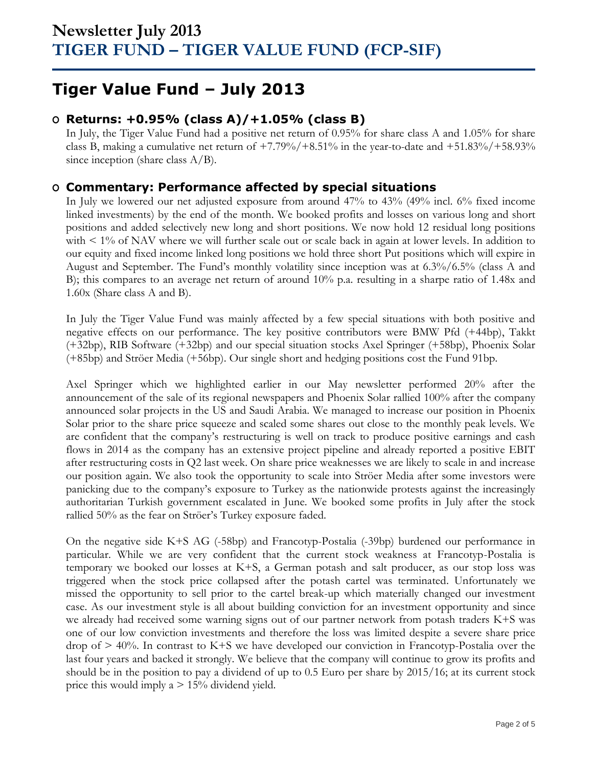## **Tiger Value Fund – July 2013**

### **O Returns: +0.95% (class A)/+1.05% (class B)**

In July, the Tiger Value Fund had a positive net return of 0.95% for share class A and 1.05% for share class B, making a cumulative net return of  $+7.79\%/+8.51\%$  in the year-to-date and  $+51.83\%/+58.93\%$ since inception (share class  $A/B$ ).

### **O Commentary: Performance affected by special situations**

In July we lowered our net adjusted exposure from around 47% to 43% (49% incl. 6% fixed income linked investments) by the end of the month. We booked profits and losses on various long and short positions and added selectively new long and short positions. We now hold 12 residual long positions with  $\leq 1\%$  of NAV where we will further scale out or scale back in again at lower levels. In addition to our equity and fixed income linked long positions we hold three short Put positions which will expire in August and September. The Fund's monthly volatility since inception was at 6.3%/6.5% (class A and B); this compares to an average net return of around 10% p.a. resulting in a sharpe ratio of 1.48x and 1.60x (Share class A and B).

In July the Tiger Value Fund was mainly affected by a few special situations with both positive and negative effects on our performance. The key positive contributors were BMW Pfd (+44bp), Takkt (+32bp), RIB Software (+32bp) and our special situation stocks Axel Springer (+58bp), Phoenix Solar (+85bp) and Ströer Media (+56bp). Our single short and hedging positions cost the Fund 91bp.

Axel Springer which we highlighted earlier in our May newsletter performed 20% after the announcement of the sale of its regional newspapers and Phoenix Solar rallied 100% after the company announced solar projects in the US and Saudi Arabia. We managed to increase our position in Phoenix Solar prior to the share price squeeze and scaled some shares out close to the monthly peak levels. We are confident that the company's restructuring is well on track to produce positive earnings and cash flows in 2014 as the company has an extensive project pipeline and already reported a positive EBIT after restructuring costs in Q2 last week. On share price weaknesses we are likely to scale in and increase our position again. We also took the opportunity to scale into Ströer Media after some investors were panicking due to the company's exposure to Turkey as the nationwide protests against the increasingly authoritarian Turkish government escalated in June. We booked some profits in July after the stock rallied 50% as the fear on Ströer's Turkey exposure faded.

On the negative side K+S AG (-58bp) and Francotyp-Postalia (-39bp) burdened our performance in particular. While we are very confident that the current stock weakness at Francotyp-Postalia is temporary we booked our losses at K+S, a German potash and salt producer, as our stop loss was triggered when the stock price collapsed after the potash cartel was terminated. Unfortunately we missed the opportunity to sell prior to the cartel break-up which materially changed our investment case. As our investment style is all about building conviction for an investment opportunity and since we already had received some warning signs out of our partner network from potash traders K+S was one of our low conviction investments and therefore the loss was limited despite a severe share price drop of > 40%. In contrast to K+S we have developed our conviction in Francotyp-Postalia over the last four years and backed it strongly. We believe that the company will continue to grow its profits and should be in the position to pay a dividend of up to 0.5 Euro per share by 2015/16; at its current stock price this would imply  $a > 15%$  dividend yield.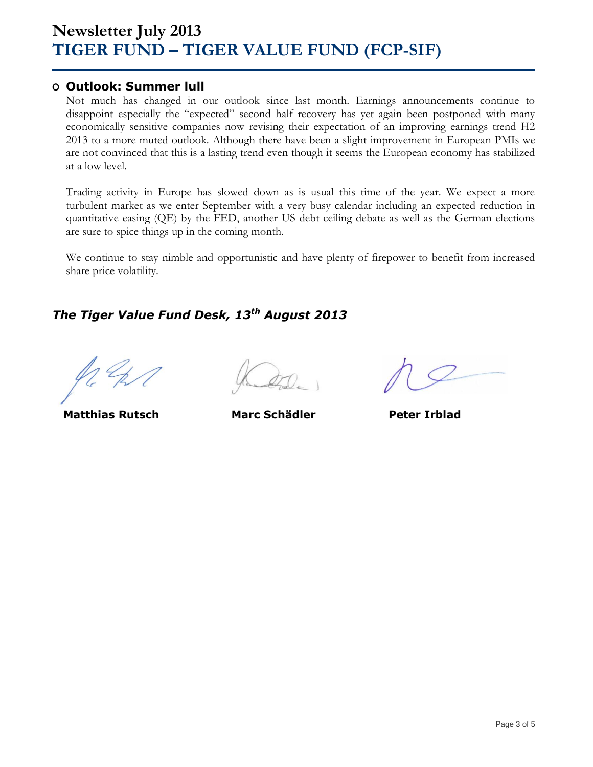### **O Outlook: Summer lull**

Not much has changed in our outlook since last month. Earnings announcements continue to disappoint especially the "expected" second half recovery has yet again been postponed with many economically sensitive companies now revising their expectation of an improving earnings trend H2 2013 to a more muted outlook. Although there have been a slight improvement in European PMIs we are not convinced that this is a lasting trend even though it seems the European economy has stabilized at a low level.

Trading activity in Europe has slowed down as is usual this time of the year. We expect a more turbulent market as we enter September with a very busy calendar including an expected reduction in quantitative easing (QE) by the FED, another US debt ceiling debate as well as the German elections are sure to spice things up in the coming month.

We continue to stay nimble and opportunistic and have plenty of firepower to benefit from increased share price volatility.

### *The Tiger Value Fund Desk, 13 th August 2013*

**Matthias Rutsch Marc Schädler Peter Irblad**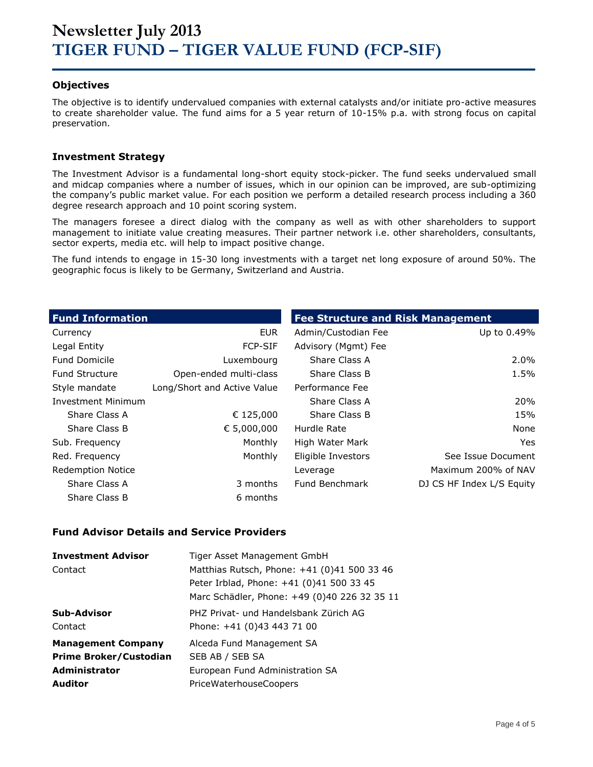#### **Objectives**

The objective is to identify undervalued companies with external catalysts and/or initiate pro-active measures to create shareholder value. The fund aims for a 5 year return of 10-15% p.a. with strong focus on capital preservation.

#### **Investment Strategy**

The Investment Advisor is a fundamental long-short equity stock-picker. The fund seeks undervalued small and midcap companies where a number of issues, which in our opinion can be improved, are sub-optimizing the company's public market value. For each position we perform a detailed research process including a 360 degree research approach and 10 point scoring system.

The managers foresee a direct dialog with the company as well as with other shareholders to support management to initiate value creating measures. Their partner network i.e. other shareholders, consultants, sector experts, media etc. will help to impact positive change.

The fund intends to engage in 15-30 long investments with a target net long exposure of around 50%. The geographic focus is likely to be Germany, Switzerland and Austria.

| <b>Fund Information</b>   |                             | <b>Fee Structure and Risk Management</b> |                           |
|---------------------------|-----------------------------|------------------------------------------|---------------------------|
| Currency                  | <b>EUR</b>                  | Admin/Custodian Fee                      | Up to 0.49%               |
| Legal Entity              | <b>FCP-SIF</b>              | Advisory (Mgmt) Fee                      |                           |
| <b>Fund Domicile</b>      | Luxembourg                  | Share Class A                            | $2.0\%$                   |
| <b>Fund Structure</b>     | Open-ended multi-class      | Share Class B                            | 1.5%                      |
| Style mandate             | Long/Short and Active Value | Performance Fee                          |                           |
| <b>Investment Minimum</b> |                             | Share Class A                            | <b>20%</b>                |
| Share Class A             | € 125,000                   | Share Class B                            | 15%                       |
| Share Class B             | € 5,000,000                 | Hurdle Rate                              | None                      |
| Sub. Frequency            | Monthly                     | High Water Mark                          | Yes.                      |
| Red. Frequency            | Monthly                     | Eligible Investors                       | See Issue Document        |
| <b>Redemption Notice</b>  |                             | Leverage                                 | Maximum 200% of NAV       |
| Share Class A             | 3 months                    | Fund Benchmark                           | DJ CS HF Index L/S Equity |
| Share Class B             | 6 months                    |                                          |                           |

#### **Fund Advisor Details and Service Providers**

| <b>Investment Advisor</b>     | Tiger Asset Management GmbH                  |
|-------------------------------|----------------------------------------------|
| Contact                       | Matthias Rutsch, Phone: +41 (0)41 500 33 46  |
|                               | Peter Irblad, Phone: +41 (0)41 500 33 45     |
|                               | Marc Schädler, Phone: +49 (0)40 226 32 35 11 |
| Sub-Advisor                   | PHZ Privat- und Handelsbank Zürich AG        |
| Contact                       | Phone: +41 (0)43 443 71 00                   |
| <b>Management Company</b>     | Alceda Fund Management SA                    |
| <b>Prime Broker/Custodian</b> | SEB AB / SEB SA                              |
| <b>Administrator</b>          | European Fund Administration SA              |
| <b>Auditor</b>                | <b>PriceWaterhouseCoopers</b>                |